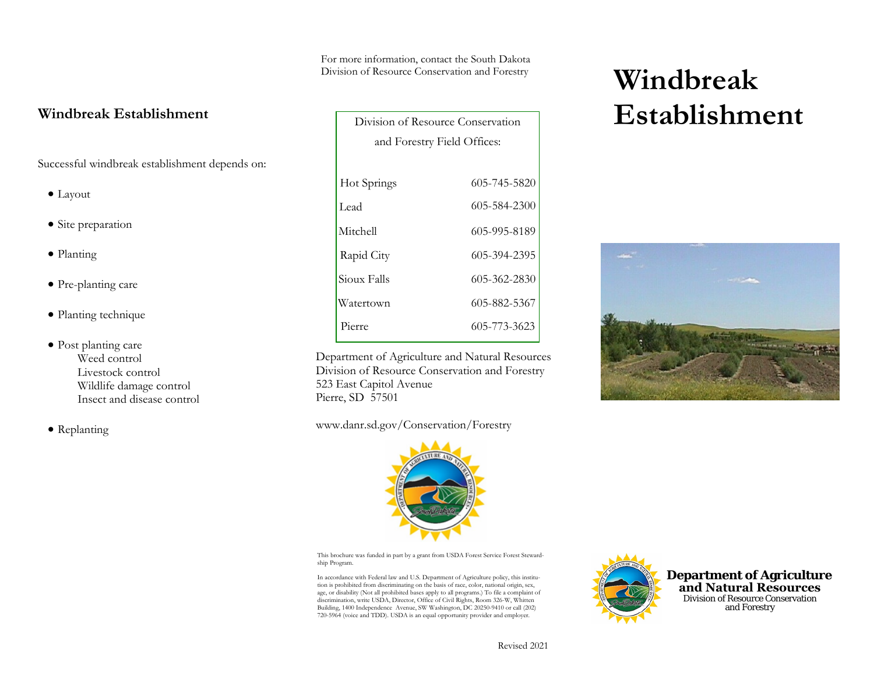For more information, contact the South Dakota Division of Resource Conservation and Forestry

┑

### **Windbreak Establishment**

Successful windbreak establishment depends on:

- Layout
- Site preparation
- Planting
- Pre-planting care
- Planting technique
- Post planting care Weed control Livestock control Wildlife damage control Insect and disease control
- Replanting

| Division of Resource Conservation |              |
|-----------------------------------|--------------|
| and Forestry Field Offices:       |              |
|                                   |              |
| Hot Springs                       | 605-745-5820 |
| Lead                              | 605-584-2300 |
| Mitchell                          | 605-995-8189 |
| Rapid City                        | 605-394-2395 |
| Sioux Falls                       | 605-362-2830 |
| Watertown                         | 605-882-5367 |
| Pierre                            | 605-773-3623 |

Department of Agriculture and Natural ResourcesDivision of Resource Conservation and Forestry 523 East Capitol Avenue Pierre, SD 57501

www.danr.sd.gov/Conservation/Forestry



This brochure was funded in part by a grant from USDA Forest Service Forest Stewardship Program.

In accordance with Federal law and U.S. Department of Agriculture policy, this institution is prohibited from discriminating on the basis of race, color, national origin, sex, age, or disability (Not all prohibited bases apply to all programs.) To file a complaint of discrimination, write USDA, Director, Office of Civil Rights, Room 326-W, Whitten Building, 1400 Independence Avenue, SW Washington, DC 20250-9410 or call (202) 720-5964 (voice and TDD). USDA is an equal opportunity provider and employer.



**Windbreak Establishment**